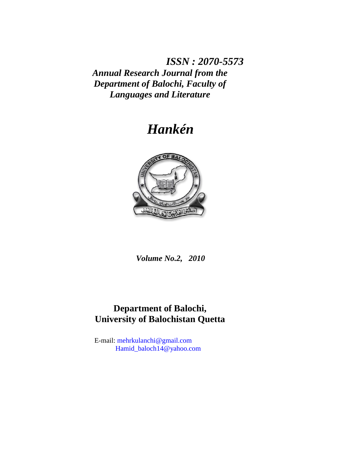*ISSN : 2070-5573 Annual Research Journal from the Department of Balochi, Faculty of Languages and Literature*

# *Hankén*



*Volume No.2, 2010*

# **Department of Balochi, University of Balochistan Quetta**

E-mail: [mehrkulanchi@gmail.com](mailto:mehrkulanchi@gmail.com) [Hamid\\_baloch14@yahoo.com](mailto:Hamid_baloch14@yahoo.com)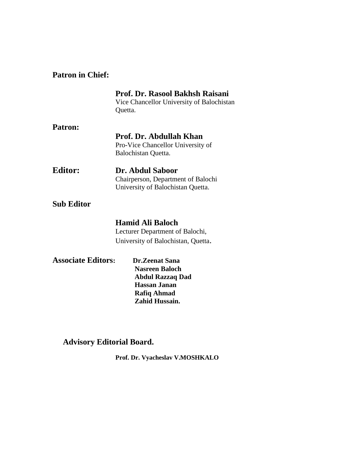# **Patron in Chief:**

|                                                                                                                                                                       | Prof. Dr. Rasool Bakhsh Raisani<br>Vice Chancellor University of Balochistan<br>Quetta.          |
|-----------------------------------------------------------------------------------------------------------------------------------------------------------------------|--------------------------------------------------------------------------------------------------|
| Patron:                                                                                                                                                               |                                                                                                  |
|                                                                                                                                                                       | Prof. Dr. Abdullah Khan<br>Pro-Vice Chancellor University of<br>Balochistan Quetta.              |
| <b>Editor:</b>                                                                                                                                                        | Dr. Abdul Saboor<br>Chairperson, Department of Balochi<br>University of Balochistan Quetta.      |
| <b>Sub Editor</b>                                                                                                                                                     |                                                                                                  |
|                                                                                                                                                                       | <b>Hamid Ali Baloch</b><br>Lecturer Department of Balochi,<br>University of Balochistan, Quetta. |
| <b>Associate Editors:</b><br><b>Dr.Zeenat Sana</b><br><b>Nasreen Baloch</b><br><b>Abdul Razzaq Dad</b><br><b>Hassan Janan</b><br><b>Rafiq Ahmad</b><br>Zahid Hussain. |                                                                                                  |

# **Advisory Editorial Board.**

**Prof. Dr. Vyacheslav V.MOSHKALO**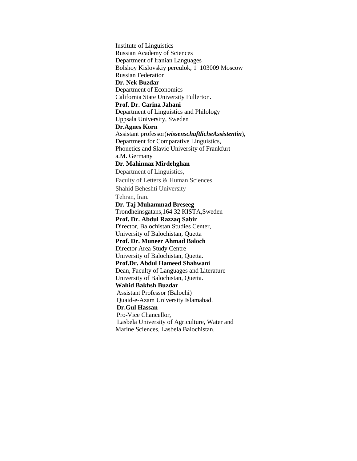Institute of Linguistics Russian Academy of Sciences Department of Iranian Languages Bolshoy Kislovskiy pereulok, 1 103009 Moscow Russian Federation **Dr. Nek Buzdar** Department of Economics California State University Fullerton. **Prof. Dr. Carina Jahani** Department of Linguistics and Philology Uppsala University, Sweden **Dr.Agnes Korn** Assistant professor(*wissenschaftlicheAssistentin*), Department for Comparative Linguistics, Phonetics and Slavic University of Frankfurt a.M. Germany **Dr. Mahinnaz Mirdehghan** Department of Linguistics, Faculty of Letters & Human Sciences Shahid Beheshti University Tehran, Iran. **Dr. Taj Muhammad Breseeg** Trondheinsgatans,164 32 KISTA,Sweden **Prof. Dr. Abdul Razzaq Sabir** Director, Balochistan Studies Center, University of Balochistan, Quetta **Prof. Dr. Muneer Ahmad Baloch** Director Area Study Centre University of Balochistan, Quetta. **Prof.Dr. Abdul Hameed Shahwani** Dean, Faculty of Languages and Literature University of Balochistan, Quetta. **Wahid Bakhsh Buzdar** Assistant Professor (Balochi) Quaid-e-Azam University Islamabad.  **Dr.Gul Hassan** Pro-Vice Chancellor, Lasbela University of Agriculture, Water and Marine Sciences, Lasbela Balochistan.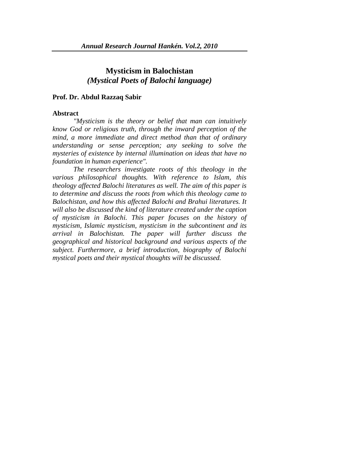## **Mysticism in Balochistan** *(Mystical Poets of Balochi language)*

#### **Prof. Dr. Abdul Razzaq Sabir**

#### **Abstract**

*"Mysticism is the theory or belief that man can intuitively know God or religious truth, through the inward perception of the mind, a more immediate and direct method than that of ordinary understanding or sense perception; any seeking to solve the mysteries of existence by internal illumination on ideas that have no foundation in human experience".* 

*The researchers investigate roots of this theology in the various philosophical thoughts. With reference to Islam, this theology affected Balochi literatures as well. The aim of this paper is to determine and discuss the roots from which this theology came to Balochistan, and how this affected Balochi and Brahui literatures. It will also be discussed the kind of literature created under the caption of mysticism in Balochi. This paper focuses on the history of mysticism, Islamic mysticism, mysticism in the subcontinent and its arrival in Balochistan. The paper will further discuss the geographical and historical background and various aspects of the subject. Furthermore, a brief introduction, biography of Balochi mystical poets and their mystical thoughts will be discussed.*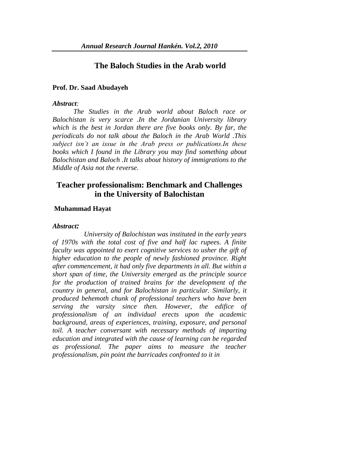### **The Baloch Studies in the Arab world**

#### **Prof. Dr. Saad Abudayeh**

#### *Abstract:*

*The Studies in the Arab world about Baloch race or Balochistan is very scarce .In the Jordanian University library which is the best in Jordan there are five books only. By far, the periodicals do not talk about the Baloch in the Arab World .This subject isn't an issue in the Arab press or publications.In these books which I found in the Library you may find something about Balochistan and Baloch .It talks about history of immigrations to the Middle of Asia not the reverse.*

### **Teacher professionalism: Benchmark and Challenges in the University of Balochistan**

#### **Muhammad Hayat**

#### *Abstract:*

 *University of Balochistan was instituted in the early years of 1970s with the total cost of five and half lac rupees. A finite faculty was appointed to exert cognitive services to usher the gift of higher education to the people of newly fashioned province. Right after commencement, it had only five departments in all. But within a short span of time, the University emerged as the principle source for the production of trained brains for the development of the country in general, and for Balochistan in particular. Similarly, it produced behemoth chunk of professional teachers who have been serving the varsity since then. However, the edifice of professionalism of an individual erects upon the academic background, areas of experiences, training, exposure, and personal toil. A teacher conversant with necessary methods of imparting education and integrated with the cause of learning can be regarded as professional. The paper aims to measure the teacher professionalism, pin point the barricades confronted to it in*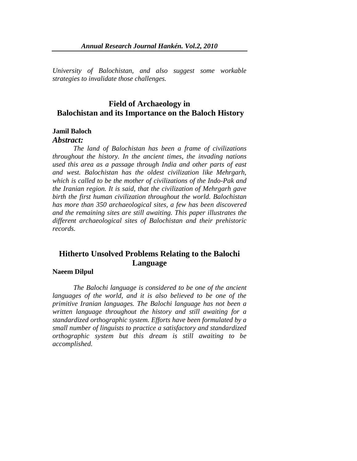*University of Balochistan, and also suggest some workable strategies to invalidate those challenges.* 

## **Field of Archaeology in Balochistan and its Importance on the Baloch History**

#### **Jamil Baloch**

#### *Abstract:*

*The land of Balochistan has been a frame of civilizations throughout the history. In the ancient times, the invading nations used this area as a passage through India and other parts of east and west. Balochistan has the oldest civilization like Mehrgarh, which is called to be the mother of civilizations of the Indo-Pak and the Iranian region. It is said, that the civilization of Mehrgarh gave birth the first human civilization throughout the world. Balochistan has more than 350 archaeological sites, a few has been discovered and the remaining sites are still awaiting. This paper illustrates the different archaeological sites of Balochistan and their prehistoric records.*

# **Hitherto Unsolved Problems Relating to the Balochi Language**

#### **Naeem Dilpul**

*The Balochi language is considered to be one of the ancient*  languages of the world, and it is also believed to be one of the *primitive Iranian languages. The Balochi language has not been a written language throughout the history and still awaiting for a standardized orthographic system. Efforts have been formulated by a small number of linguists to practice a satisfactory and standardized orthographic system but this dream is still awaiting to be accomplished.*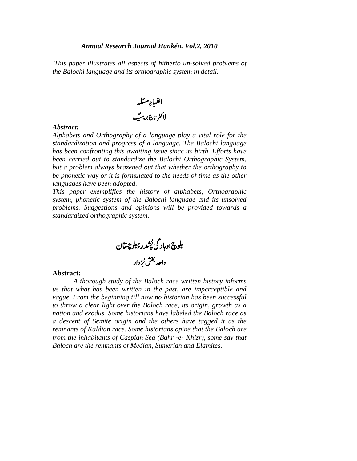*This paper illustrates all aspects of hitherto un-solved problems of the Balochi language and its orthographic system in detail.*

ب ا ا ِء ہلئسم لف ڈارٹک اتج ربی سب گ

#### *Abstract:*

*Alphabets and Orthography of a language play a vital role for the standardization and progress of a language. The Balochi language has been confronting this awaiting issue since its birth. Efforts have been carried out to standardize the Balochi Orthographic System, but a problem always brazened out that whether the orthography to be phonetic way or it is formulated to the needs of time as the other languages have been adopted.* 

*This paper exemplifies the history of alphabets, Orthographic system, phonetic system of the Balochi language and its unsolved problems. Suggestions and opinions will be provided towards a standardized orthographic system.* 

در ش بلوچ اوباد گی پُشدرۂ بلوچیتان </sub>ُ واحد بخش بُزدار ُ

#### **Abstract:**

*A thorough study of the Baloch race written history informs us that what has been written in the past, are imperceptible and vague. From the beginning till now no historian has been successful to throw a clear light over the Baloch race, its origin, growth as a nation and exodus. Some historians have labeled the Baloch race as a descent of Semite origin and the others have tagged it as the remnants of Kaldian race. Some historians opine that the Baloch are from the inhabitants of Caspian Sea (Bahr -e- Khizr), some say that Baloch are the remnants of Median, Sumerian and Elamites.*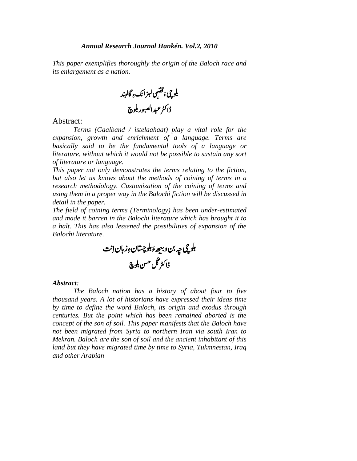*This paper exemplifies thoroughly the origin of the Baloch race and its enlargement as a nation.* 

.<br>بلوچیءَ قصبی لبز انکءِ گالبند í ہ س<br>ک ڈاکٹر عبد الصبور بلوچ

#### Abstract:

*Terms (Gaalband / istelaahaat) play a vital role for the expansion, growth and enrichment of a language. Terms are basically said to be the fundamental tools of a language or literature, without which it would not be possible to sustain any sort of literature or language.* 

*This paper not only demonstrates the terms relating to the fiction, but also let us knows about the methods of coining of terms in a research methodology. Customization of the coining of terms and using them in a proper way in the Balochi fiction will be discussed in detail in the paper.* 

*The field of coining terms (Terminology) has been under-estimated and made it barren in the Balochi literature which has brought it to a halt. This has also lessened the possibilities of expansion of the Balochi literature.*

بلوچ بچه *پن و*بیھ*ءَ*بلوچستانءِزبان اِنت í ڈاکٹر گُل <sup>حس</sup>ن بلوچ

#### *Abstract:*

*The Baloch nation has a history of about four to five thousand years. A lot of historians have expressed their ideas time by time to define the word Baloch, its origin and exodus through centuries. But the point which has been remained aborted is the concept of the son of soil. This paper manifests that the Baloch have not been migrated from Syria to northern Iran via south Iran to Mekran. Baloch are the son of soil and the ancient inhabitant of this land but they have migrated time by time to Syria, Tukmnestan, Iraq and other Arabian*